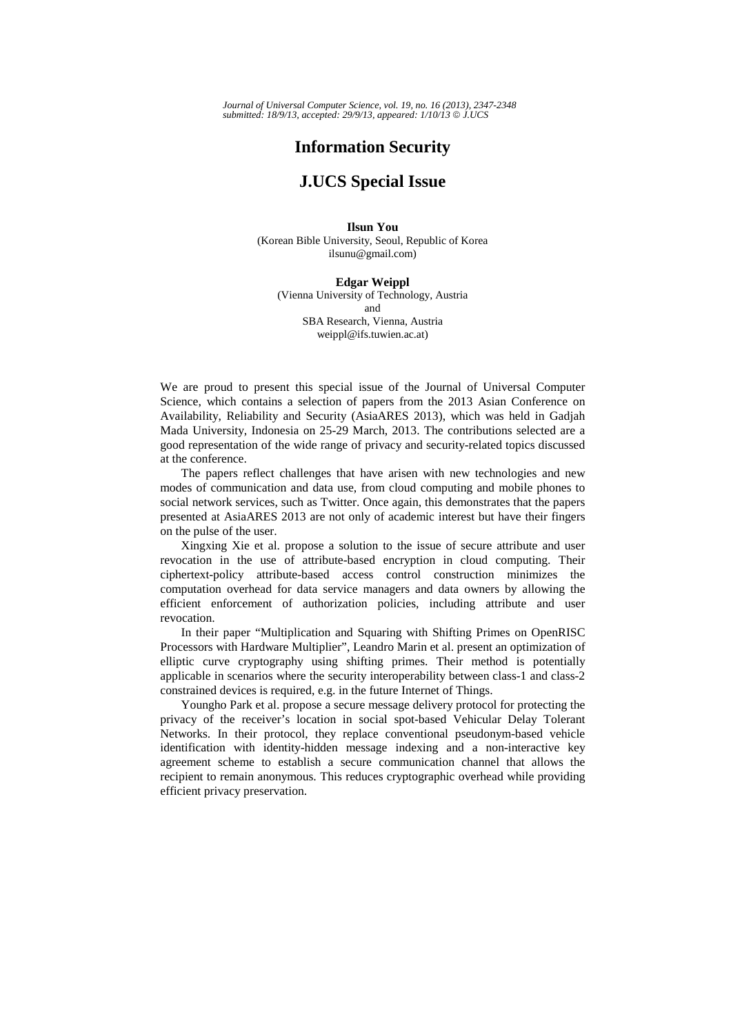*Journal of Universal Computer Science, vol. 19, no. 16 (2013), 2347-2348 submitted: 18/9/13, accepted: 29/9/13, appeared: 1/10/13* © *J.UCS*

## **Information Security**

## **J.UCS Special Issue**

**Ilsun You**  (Korean Bible University, Seoul, Republic of Korea ilsunu@gmail.com)

## **Edgar Weippl**

(Vienna University of Technology, Austria and SBA Research, Vienna, Austria weippl@ifs.tuwien.ac.at)

We are proud to present this special issue of the Journal of Universal Computer Science, which contains a selection of papers from the 2013 Asian Conference on Availability, Reliability and Security (AsiaARES 2013), which was held in Gadjah Mada University, Indonesia on 25-29 March, 2013. The contributions selected are a good representation of the wide range of privacy and security-related topics discussed at the conference.

The papers reflect challenges that have arisen with new technologies and new modes of communication and data use, from cloud computing and mobile phones to social network services, such as Twitter. Once again, this demonstrates that the papers presented at AsiaARES 2013 are not only of academic interest but have their fingers on the pulse of the user.

Xingxing Xie et al. propose a solution to the issue of secure attribute and user revocation in the use of attribute-based encryption in cloud computing. Their ciphertext-policy attribute-based access control construction minimizes the computation overhead for data service managers and data owners by allowing the efficient enforcement of authorization policies, including attribute and user revocation.

In their paper "Multiplication and Squaring with Shifting Primes on OpenRISC Processors with Hardware Multiplier", Leandro Marin et al. present an optimization of elliptic curve cryptography using shifting primes. Their method is potentially applicable in scenarios where the security interoperability between class-1 and class-2 constrained devices is required, e.g. in the future Internet of Things.

Youngho Park et al. propose a secure message delivery protocol for protecting the privacy of the receiver's location in social spot-based Vehicular Delay Tolerant Networks. In their protocol, they replace conventional pseudonym-based vehicle identification with identity-hidden message indexing and a non-interactive key agreement scheme to establish a secure communication channel that allows the recipient to remain anonymous. This reduces cryptographic overhead while providing efficient privacy preservation.